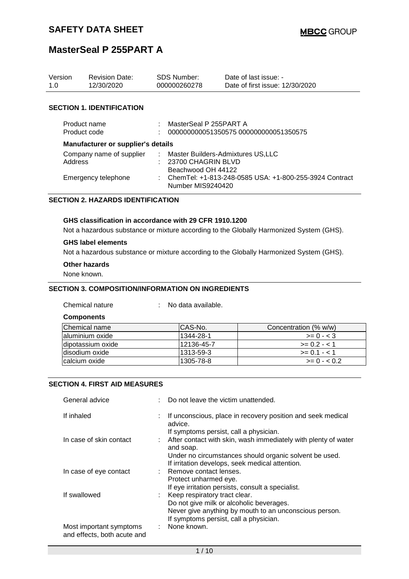| Version<br>1.0                                             | <b>Revision Date:</b><br>12/30/2020 | <b>SDS Number:</b><br>000000260278                                                                                                                                | Date of last issue: -<br>Date of first issue: 12/30/2020 |
|------------------------------------------------------------|-------------------------------------|-------------------------------------------------------------------------------------------------------------------------------------------------------------------|----------------------------------------------------------|
|                                                            | <b>SECTION 1. IDENTIFICATION</b>    |                                                                                                                                                                   |                                                          |
| Product name<br>Product code                               |                                     | MasterSeal P 255PART A                                                                                                                                            | 000000000051350575 000000000051350575                    |
|                                                            | Manufacturer or supplier's details  |                                                                                                                                                                   |                                                          |
| Company name of supplier<br>Address<br>Emergency telephone |                                     | Master Builders-Admixtures US, LLC<br>$: 23700$ CHAGRIN BLVD<br>Beachwood OH 44122<br>ChemTel: +1-813-248-0585 USA: +1-800-255-3924 Contract<br>Number MIS9240420 |                                                          |

### **SECTION 2. HAZARDS IDENTIFICATION**

#### **GHS classification in accordance with 29 CFR 1910.1200**

Not a hazardous substance or mixture according to the Globally Harmonized System (GHS).

#### **GHS label elements**

Not a hazardous substance or mixture according to the Globally Harmonized System (GHS).

### **Other hazards**

None known.

#### **SECTION 3. COMPOSITION/INFORMATION ON INGREDIENTS**

Chemical nature : No data available.

**Components**

| Chemical name      | ICAS-No.   | Concentration (% w/w) |
|--------------------|------------|-----------------------|
| laluminium oxide   | 1344-28-1  | $>= 0 - 3$            |
| Idipotassium oxide | 12136-45-7 | $>= 0.2 - 1$          |
| Idisodium oxide    | 1313-59-3  | $>= 0.1 - 1.1$        |
| Icalcium oxide     | 1305-78-8  | $>= 0 - 0.2$          |

#### **SECTION 4. FIRST AID MEASURES**

| General advice                                         | : Do not leave the victim unattended.                                                                                   |
|--------------------------------------------------------|-------------------------------------------------------------------------------------------------------------------------|
| If inhaled                                             | If unconscious, place in recovery position and seek medical<br>advice.                                                  |
| In case of skin contact                                | If symptoms persist, call a physician.<br>: After contact with skin, wash immediately with plenty of water<br>and soap. |
|                                                        | Under no circumstances should organic solvent be used.<br>If irritation develops, seek medical attention.               |
| In case of eye contact                                 | : Remove contact lenses.<br>Protect unharmed eye.<br>If eye irritation persists, consult a specialist.                  |
| If swallowed                                           | : Keep respiratory tract clear.<br>Do not give milk or alcoholic beverages.                                             |
|                                                        | Never give anything by mouth to an unconscious person.<br>If symptoms persist, call a physician.                        |
| Most important symptoms<br>and effects, both acute and | None known.                                                                                                             |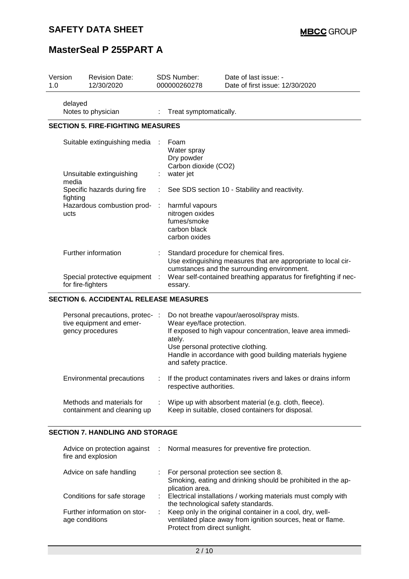## **SAFETY DATA SHEET**

## **MasterSeal P 255PART A**

| Version<br>1.0 |                   | <b>Revision Date:</b><br>12/30/2020                                             | <b>SDS Number:</b><br>000000260278 |                                                                                                  | Date of last issue: -<br>Date of first issue: 12/30/2020                                                                                                                                                                   |
|----------------|-------------------|---------------------------------------------------------------------------------|------------------------------------|--------------------------------------------------------------------------------------------------|----------------------------------------------------------------------------------------------------------------------------------------------------------------------------------------------------------------------------|
|                | delayed           | Notes to physician                                                              |                                    | Treat symptomatically.                                                                           |                                                                                                                                                                                                                            |
|                |                   | <b>SECTION 5. FIRE-FIGHTING MEASURES</b>                                        |                                    |                                                                                                  |                                                                                                                                                                                                                            |
|                |                   | Suitable extinguishing media                                                    |                                    | Foam<br>Water spray<br>Dry powder<br>Carbon dioxide (CO2)                                        |                                                                                                                                                                                                                            |
|                | media             | Unsuitable extinguishing                                                        |                                    | water jet                                                                                        |                                                                                                                                                                                                                            |
|                | fighting          | Specific hazards during fire                                                    |                                    |                                                                                                  | See SDS section 10 - Stability and reactivity.                                                                                                                                                                             |
|                | ucts              | Hazardous combustion prod-                                                      |                                    | harmful vapours<br>nitrogen oxides<br>fumes/smoke<br>carbon black<br>carbon oxides               |                                                                                                                                                                                                                            |
|                | for fire-fighters | Further information<br>Special protective equipment                             |                                    | essary.                                                                                          | Standard procedure for chemical fires.<br>Use extinguishing measures that are appropriate to local cir-<br>cumstances and the surrounding environment.<br>Wear self-contained breathing apparatus for firefighting if nec- |
|                |                   | <b>SECTION 6. ACCIDENTAL RELEASE MEASURES</b>                                   |                                    |                                                                                                  |                                                                                                                                                                                                                            |
|                |                   | Personal precautions, protec- :<br>tive equipment and emer-<br>gency procedures |                                    | Wear eye/face protection.<br>ately.<br>Use personal protective clothing.<br>and safety practice. | Do not breathe vapour/aerosol/spray mists.<br>If exposed to high vapour concentration, leave area immedi-<br>Handle in accordance with good building materials hygiene                                                     |

| Environmental precautions | If the product contaminates rivers and lakes or drains inform |
|---------------------------|---------------------------------------------------------------|
|                           | respective authorities.                                       |

| Methods and materials for   | Wipe up with absorbent material (e.g. cloth, fleece). |
|-----------------------------|-------------------------------------------------------|
| containment and cleaning up | Keep in suitable, closed containers for disposal.     |

#### **SECTION 7. HANDLING AND STORAGE**

| fire and explosion                             | Advice on protection against : Normal measures for preventive fire protection.                                                                            |
|------------------------------------------------|-----------------------------------------------------------------------------------------------------------------------------------------------------------|
| Advice on safe handling                        | : For personal protection see section 8.<br>Smoking, eating and drinking should be prohibited in the ap-<br>plication area.                               |
| Conditions for safe storage                    | : Electrical installations / working materials must comply with<br>the technological safety standards.                                                    |
| Further information on stor-<br>age conditions | Keep only in the original container in a cool, dry, well-<br>ventilated place away from ignition sources, heat or flame.<br>Protect from direct sunlight. |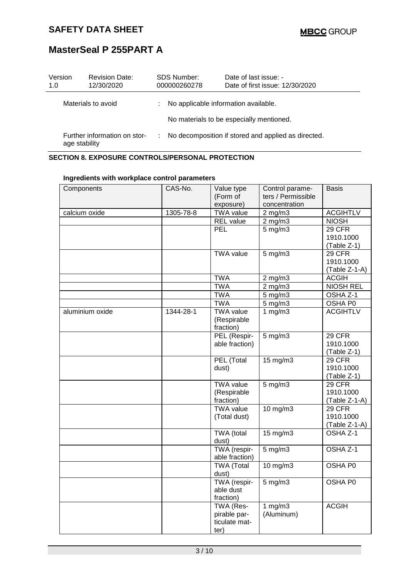| Version<br>1.0 | <b>Revision Date:</b><br>12/30/2020           |   | <b>SDS Number:</b><br>000000260278   | Date of last issue: -<br>Date of first issue: 12/30/2020 |
|----------------|-----------------------------------------------|---|--------------------------------------|----------------------------------------------------------|
|                | Materials to avoid                            | ÷ | No applicable information available. |                                                          |
|                |                                               |   |                                      | No materials to be especially mentioned.                 |
|                | Further information on stor-<br>age stability |   |                                      | No decomposition if stored and applied as directed.      |

## **SECTION 8. EXPOSURE CONTROLS/PERSONAL PROTECTION**

| Components      | CAS-No.   | Value type        | Control parame-    | <b>Basis</b>     |
|-----------------|-----------|-------------------|--------------------|------------------|
|                 |           | (Form of          | ters / Permissible |                  |
|                 |           | exposure)         | concentration      |                  |
| calcium oxide   | 1305-78-8 | <b>TWA value</b>  | $2$ mg/m $3$       | <b>ACGIHTLV</b>  |
|                 |           | REL value         | $2$ mg/m $3$       | <b>NIOSH</b>     |
|                 |           | <b>PEL</b>        | $5$ mg/m $3$       | 29 CFR           |
|                 |           |                   |                    | 1910.1000        |
|                 |           |                   |                    | (Table Z-1)      |
|                 |           | <b>TWA value</b>  | $5$ mg/m $3$       | 29 CFR           |
|                 |           |                   |                    | 1910.1000        |
|                 |           |                   |                    | (Table Z-1-A)    |
|                 |           | <b>TWA</b>        |                    | <b>ACGIH</b>     |
|                 |           |                   | $2$ mg/m $3$       |                  |
|                 |           | <b>TWA</b>        | $2$ mg/m $3$       | <b>NIOSH REL</b> |
|                 |           | <b>TWA</b>        | $5$ mg/m $3$       | OSHA Z-1         |
|                 |           | <b>TWA</b>        | $5$ mg/m $3$       | OSHA P0          |
| aluminium oxide | 1344-28-1 | <b>TWA</b> value  | 1 $mg/m3$          | <b>ACGIHTLV</b>  |
|                 |           | (Respirable       |                    |                  |
|                 |           | fraction)         |                    |                  |
|                 |           | PEL (Respir-      | $5$ mg/m $3$       | 29 CFR           |
|                 |           | able fraction)    |                    | 1910.1000        |
|                 |           |                   |                    | (Table Z-1)      |
|                 |           | PEL (Total        | 15 mg/m3           | 29 CFR           |
|                 |           | dust)             |                    | 1910.1000        |
|                 |           |                   |                    | (Table Z-1)      |
|                 |           | <b>TWA value</b>  | $5$ mg/m $3$       | 29 CFR           |
|                 |           | (Respirable       |                    | 1910.1000        |
|                 |           | fraction)         |                    | (Table Z-1-A)    |
|                 |           | <b>TWA value</b>  | 10 $mg/m3$         | 29 CFR           |
|                 |           | (Total dust)      |                    | 1910.1000        |
|                 |           |                   |                    | (Table Z-1-A)    |
|                 |           | TWA (total        | $15 \text{ mg/m}$  | OSHA Z-1         |
|                 |           | dust)             |                    |                  |
|                 |           | TWA (respir-      | $5$ mg/m $3$       | OSHA Z-1         |
|                 |           | able fraction)    |                    |                  |
|                 |           | <b>TWA (Total</b> | 10 mg/m3           | OSHA P0          |
|                 |           | dust)             |                    |                  |
|                 |           | TWA (respir-      | $5$ mg/m $3$       | OSHA P0          |
|                 |           | able dust         |                    |                  |
|                 |           | fraction)         |                    |                  |
|                 |           | TWA (Res-         | 1 $mg/m3$          | <b>ACGIH</b>     |
|                 |           | pirable par-      | (Aluminum)         |                  |
|                 |           | ticulate mat-     |                    |                  |
|                 |           | ter)              |                    |                  |

### **Ingredients with workplace control parameters**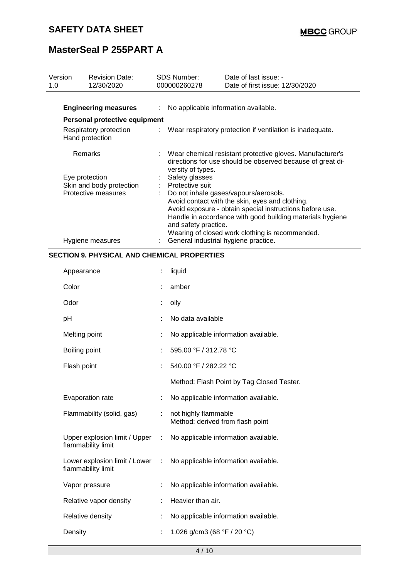|     | Version            | <b>Revision Date:</b><br>12/30/2020                |   | SDS Number:<br>000000260278                                  | Date of last issue: -                                                                                                                                                                                                       |
|-----|--------------------|----------------------------------------------------|---|--------------------------------------------------------------|-----------------------------------------------------------------------------------------------------------------------------------------------------------------------------------------------------------------------------|
| 1.0 |                    |                                                    |   |                                                              | Date of first issue: 12/30/2020                                                                                                                                                                                             |
|     |                    | <b>Engineering measures</b>                        |   | No applicable information available.                         |                                                                                                                                                                                                                             |
|     |                    | Personal protective equipment                      |   |                                                              |                                                                                                                                                                                                                             |
|     | Hand protection    | Respiratory protection                             |   |                                                              | Wear respiratory protection if ventilation is inadequate.                                                                                                                                                                   |
|     | Remarks            |                                                    |   | versity of types.                                            | Wear chemical resistant protective gloves. Manufacturer's<br>directions for use should be observed because of great di-                                                                                                     |
|     | Eye protection     |                                                    |   | Safety glasses                                               |                                                                                                                                                                                                                             |
|     |                    | Skin and body protection<br>Protective measures    |   | Protective suit                                              | Do not inhale gases/vapours/aerosols.                                                                                                                                                                                       |
|     |                    | Hygiene measures                                   |   | and safety practice.<br>General industrial hygiene practice. | Avoid contact with the skin, eyes and clothing.<br>Avoid exposure - obtain special instructions before use.<br>Handle in accordance with good building materials hygiene<br>Wearing of closed work clothing is recommended. |
|     |                    | <b>SECTION 9. PHYSICAL AND CHEMICAL PROPERTIES</b> |   |                                                              |                                                                                                                                                                                                                             |
|     |                    |                                                    |   |                                                              |                                                                                                                                                                                                                             |
|     | Appearance         |                                                    |   | liquid                                                       |                                                                                                                                                                                                                             |
|     | Color              |                                                    |   | amber                                                        |                                                                                                                                                                                                                             |
|     | Odor               |                                                    |   | oily                                                         |                                                                                                                                                                                                                             |
|     | pH                 |                                                    |   | No data available                                            |                                                                                                                                                                                                                             |
|     | Melting point      |                                                    |   |                                                              | No applicable information available.                                                                                                                                                                                        |
|     | Boiling point      |                                                    |   | 595.00 °F / 312.78 °C                                        |                                                                                                                                                                                                                             |
|     | Flash point        |                                                    |   | 540.00 °F / 282.22 °C                                        |                                                                                                                                                                                                                             |
|     |                    |                                                    |   |                                                              | Method: Flash Point by Tag Closed Tester.                                                                                                                                                                                   |
|     | Evaporation rate   |                                                    |   |                                                              | No applicable information available.                                                                                                                                                                                        |
|     |                    | Flammability (solid, gas)                          | ÷ | not highly flammable<br>Method: derived from flash point     |                                                                                                                                                                                                                             |
|     | flammability limit | Upper explosion limit / Upper                      |   |                                                              | No applicable information available.                                                                                                                                                                                        |
|     | flammability limit | Lower explosion limit / Lower                      | ÷ |                                                              | No applicable information available.                                                                                                                                                                                        |
|     | Vapor pressure     |                                                    |   |                                                              | No applicable information available.                                                                                                                                                                                        |
|     |                    | Relative vapor density                             |   | Heavier than air.                                            |                                                                                                                                                                                                                             |
|     | Relative density   |                                                    |   |                                                              | No applicable information available.                                                                                                                                                                                        |
|     | Density            |                                                    |   | 1.026 g/cm3 (68 $\degree$ F / 20 $\degree$ C)                |                                                                                                                                                                                                                             |
|     |                    |                                                    |   |                                                              |                                                                                                                                                                                                                             |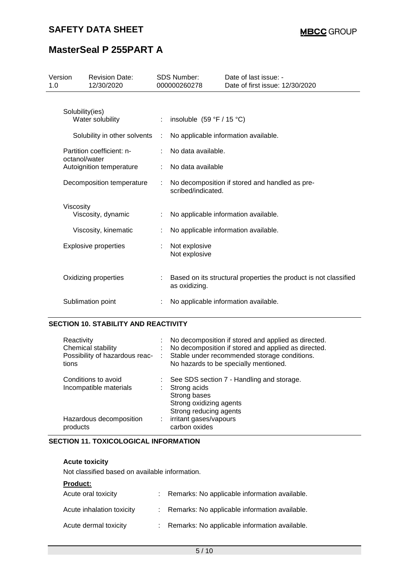| Version<br>1.0 |                 | <b>Revision Date:</b><br>12/30/2020 | <b>SDS Number:</b><br>000000260278 |                                | Date of last issue: -<br>Date of first issue: 12/30/2020         |
|----------------|-----------------|-------------------------------------|------------------------------------|--------------------------------|------------------------------------------------------------------|
|                | Solubility(ies) | Water solubility                    |                                    | : insoluble $(59 °F / 15 °C)$  |                                                                  |
|                |                 | Solubility in other solvents        | ÷                                  |                                | No applicable information available.                             |
|                |                 | Partition coefficient: n-           |                                    | No data available.             |                                                                  |
|                | octanol/water   | Autoignition temperature            |                                    | No data available              |                                                                  |
|                |                 | Decomposition temperature           | ÷                                  | scribed/indicated.             | No decomposition if stored and handled as pre-                   |
|                | Viscosity       | Viscosity, dynamic                  |                                    |                                | No applicable information available.                             |
|                |                 | Viscosity, kinematic                |                                    |                                | No applicable information available.                             |
|                |                 | <b>Explosive properties</b>         |                                    | Not explosive<br>Not explosive |                                                                  |
|                |                 | Oxidizing properties                |                                    | as oxidizing.                  | Based on its structural properties the product is not classified |
|                |                 | Sublimation point                   |                                    |                                | No applicable information available.                             |

## **SECTION 10. STABILITY AND REACTIVITY**

| Reactivity<br>Chemical stability<br>Possibility of hazardous reac-<br>tions |   | No decomposition if stored and applied as directed.<br>No decomposition if stored and applied as directed.<br>Stable under recommended storage conditions.<br>No hazards to be specially mentioned. |
|-----------------------------------------------------------------------------|---|-----------------------------------------------------------------------------------------------------------------------------------------------------------------------------------------------------|
| Conditions to avoid<br>Incompatible materials                               |   | See SDS section 7 - Handling and storage.<br>Strong acids<br>Strong bases<br>Strong oxidizing agents<br>Strong reducing agents                                                                      |
| Hazardous decomposition<br>products                                         | ÷ | irritant gases/vapours<br>carbon oxides                                                                                                                                                             |

### **SECTION 11. TOXICOLOGICAL INFORMATION**

#### **Acute toxicity**

Not classified based on available information.

#### **Product:**

| Acute oral toxicity       | Remarks: No applicable information available. |
|---------------------------|-----------------------------------------------|
| Acute inhalation toxicity | Remarks: No applicable information available. |
| Acute dermal toxicity     | Remarks: No applicable information available. |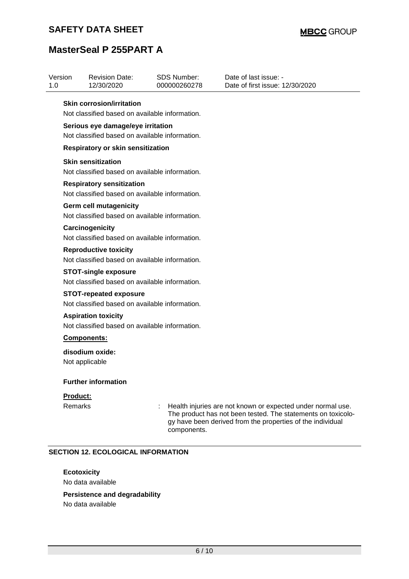| Version<br>1.0 | <b>Revision Date:</b><br>12/30/2020                                                 | SDS Number:<br>000000260278 | Date of last issue: -<br>Date of first issue: 12/30/2020                                                                                                                                  |  |
|----------------|-------------------------------------------------------------------------------------|-----------------------------|-------------------------------------------------------------------------------------------------------------------------------------------------------------------------------------------|--|
|                | <b>Skin corrosion/irritation</b><br>Not classified based on available information.  |                             |                                                                                                                                                                                           |  |
|                |                                                                                     |                             |                                                                                                                                                                                           |  |
|                | Serious eye damage/eye irritation<br>Not classified based on available information. |                             |                                                                                                                                                                                           |  |
|                |                                                                                     |                             |                                                                                                                                                                                           |  |
|                | Respiratory or skin sensitization                                                   |                             |                                                                                                                                                                                           |  |
|                | <b>Skin sensitization</b>                                                           |                             |                                                                                                                                                                                           |  |
|                | Not classified based on available information.                                      |                             |                                                                                                                                                                                           |  |
|                | <b>Respiratory sensitization</b>                                                    |                             |                                                                                                                                                                                           |  |
|                | Not classified based on available information.                                      |                             |                                                                                                                                                                                           |  |
|                | <b>Germ cell mutagenicity</b>                                                       |                             |                                                                                                                                                                                           |  |
|                | Not classified based on available information.                                      |                             |                                                                                                                                                                                           |  |
|                | Carcinogenicity                                                                     |                             |                                                                                                                                                                                           |  |
|                | Not classified based on available information.                                      |                             |                                                                                                                                                                                           |  |
|                | <b>Reproductive toxicity</b>                                                        |                             |                                                                                                                                                                                           |  |
|                | Not classified based on available information.                                      |                             |                                                                                                                                                                                           |  |
|                | <b>STOT-single exposure</b>                                                         |                             |                                                                                                                                                                                           |  |
|                | Not classified based on available information.                                      |                             |                                                                                                                                                                                           |  |
|                | <b>STOT-repeated exposure</b>                                                       |                             |                                                                                                                                                                                           |  |
|                | Not classified based on available information.                                      |                             |                                                                                                                                                                                           |  |
|                | <b>Aspiration toxicity</b>                                                          |                             |                                                                                                                                                                                           |  |
|                | Not classified based on available information.                                      |                             |                                                                                                                                                                                           |  |
|                | Components:                                                                         |                             |                                                                                                                                                                                           |  |
|                | disodium oxide:                                                                     |                             |                                                                                                                                                                                           |  |
|                | Not applicable                                                                      |                             |                                                                                                                                                                                           |  |
|                | <b>Further information</b>                                                          |                             |                                                                                                                                                                                           |  |
| Product:       |                                                                                     |                             |                                                                                                                                                                                           |  |
| Remarks        |                                                                                     |                             | Health injuries are not known or expected under normal use.<br>The product has not been tested. The statements on toxicolo-<br>gy have been derived from the properties of the individual |  |

### **SECTION 12. ECOLOGICAL INFORMATION**

## **Ecotoxicity**

No data available

### **Persistence and degradability**

No data available

components.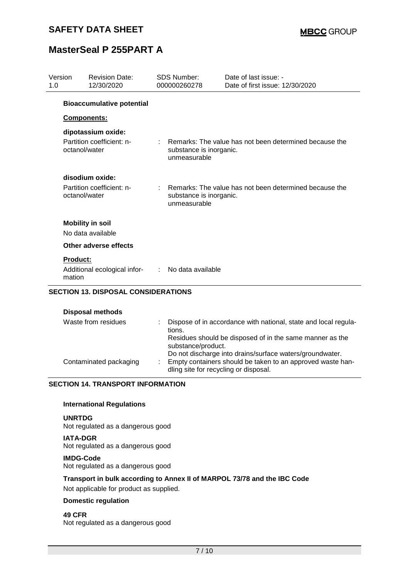| Version<br>1.0 |                                            | <b>Revision Date:</b><br>12/30/2020                                   |  | <b>SDS Number:</b><br>000000260278      | Date of last issue: -<br>Date of first issue: 12/30/2020 |
|----------------|--------------------------------------------|-----------------------------------------------------------------------|--|-----------------------------------------|----------------------------------------------------------|
|                |                                            | <b>Bioaccumulative potential</b>                                      |  |                                         |                                                          |
|                | Components:                                |                                                                       |  |                                         |                                                          |
|                | octanol/water                              | dipotassium oxide:<br>Partition coefficient: n-                       |  | substance is inorganic.<br>unmeasurable | Remarks: The value has not been determined because the   |
|                | octanol/water                              | disodium oxide:<br>Partition coefficient: n-                          |  | substance is inorganic.<br>unmeasurable | : Remarks: The value has not been determined because the |
|                |                                            | <b>Mobility in soil</b><br>No data available<br>Other adverse effects |  |                                         |                                                          |
|                | <b>Product:</b>                            |                                                                       |  |                                         |                                                          |
|                | mation                                     | Additional ecological infor-                                          |  | : No data available                     |                                                          |
|                | <b>SECTION 13. DISPOSAL CONSIDERATIONS</b> |                                                                       |  |                                         |                                                          |

#### **Disposal methods**

| Waste from residues    | Dispose of in accordance with national, state and local regula-<br>tions.<br>Residues should be disposed of in the same manner as the<br>substance/product.<br>Do not discharge into drains/surface waters/groundwater. |
|------------------------|-------------------------------------------------------------------------------------------------------------------------------------------------------------------------------------------------------------------------|
| Contaminated packaging | Empty containers should be taken to an approved waste han-<br>dling site for recycling or disposal.                                                                                                                     |

### **SECTION 14. TRANSPORT INFORMATION**

#### **International Regulations**

**UNRTDG** Not regulated as a dangerous good

**IATA-DGR** Not regulated as a dangerous good

#### **IMDG-Code**

Not regulated as a dangerous good

### **Transport in bulk according to Annex II of MARPOL 73/78 and the IBC Code**

Not applicable for product as supplied.

### **Domestic regulation**

**49 CFR** Not regulated as a dangerous good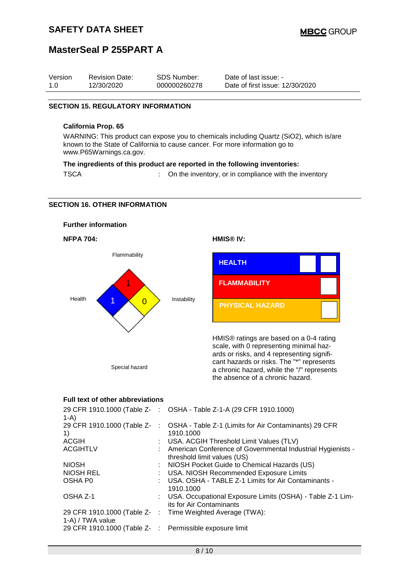| Version | <b>Revision Date:</b> | <b>SDS Number:</b> | Date of last issue: -           |
|---------|-----------------------|--------------------|---------------------------------|
| 1.0     | 12/30/2020            | 000000260278       | Date of first issue: 12/30/2020 |

#### **SECTION 15. REGULATORY INFORMATION**

#### **California Prop. 65**

WARNING: This product can expose you to chemicals including Quartz (SiO2), which is/are known to the State of California to cause cancer. For more information go to www.P65Warnings.ca.gov.

#### **The ingredients of this product are reported in the following inventories:**

TSCA : On the inventory, or in compliance with the inventory

#### **SECTION 16. OTHER INFORMATION**



#### **Full text of other abbreviations**

| $1-A$                                                   | 29 CFR 1910.1000 (Table Z- : OSHA - Table Z-1-A (29 CFR 1910.1000)                             |
|---------------------------------------------------------|------------------------------------------------------------------------------------------------|
| 1)                                                      | 29 CFR 1910.1000 (Table Z-: OSHA - Table Z-1 (Limits for Air Contaminants) 29 CFR<br>1910.1000 |
| ACGIH                                                   | : USA. ACGIH Threshold Limit Values (TLV)                                                      |
| <b>ACGIHTLV</b>                                         | : American Conference of Governmental Industrial Hygienists -<br>threshold limit values (US)   |
| <b>NIOSH</b>                                            | : NIOSH Pocket Guide to Chemical Hazards (US)                                                  |
| NIOSH REL                                               | : USA. NIOSH Recommended Exposure Limits                                                       |
| OSHA P0                                                 | : USA. OSHA - TABLE Z-1 Limits for Air Contaminants -<br>1910.1000                             |
| OSHA Z-1                                                | : USA. Occupational Exposure Limits (OSHA) - Table Z-1 Lim-<br>its for Air Contaminants        |
| 1-A) / TWA value                                        | 29 CFR 1910.1000 (Table Z- : Time Weighted Average (TWA):                                      |
| 29 CFR 1910.1000 (Table Z- : Permissible exposure limit |                                                                                                |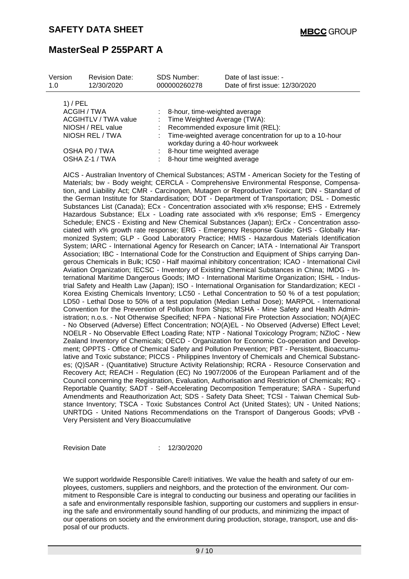| Version<br>1.0 | <b>Revision Date:</b><br>12/30/2020                                                | <b>SDS Number:</b><br>000000260278                                | Date of last issue: -<br>Date of first issue: 12/30/2020                                                                              |
|----------------|------------------------------------------------------------------------------------|-------------------------------------------------------------------|---------------------------------------------------------------------------------------------------------------------------------------|
| 1) / PEL       | ACGIH / TWA<br><b>ACGIHTLV / TWA value</b><br>NIOSH / REL value<br>NIOSH REL / TWA | : 8-hour, time-weighted average<br>: Time Weighted Average (TWA): | : Recommended exposure limit (REL):<br>: Time-weighted average concentration for up to a 10-hour<br>workday during a 40-hour workweek |
|                | OSHA PO / TWA<br>OSHA Z-1 / TWA                                                    | : 8-hour time weighted average<br>: 8-hour time weighted average  |                                                                                                                                       |

AICS - Australian Inventory of Chemical Substances; ASTM - American Society for the Testing of Materials; bw - Body weight; CERCLA - Comprehensive Environmental Response, Compensation, and Liability Act; CMR - Carcinogen, Mutagen or Reproductive Toxicant; DIN - Standard of the German Institute for Standardisation; DOT - Department of Transportation; DSL - Domestic Substances List (Canada); ECx - Concentration associated with x% response; EHS - Extremely Hazardous Substance; ELx - Loading rate associated with x% response; EmS - Emergency Schedule; ENCS - Existing and New Chemical Substances (Japan); ErCx - Concentration associated with x% growth rate response; ERG - Emergency Response Guide; GHS - Globally Harmonized System; GLP - Good Laboratory Practice; HMIS - Hazardous Materials Identification System; IARC - International Agency for Research on Cancer; IATA - International Air Transport Association; IBC - International Code for the Construction and Equipment of Ships carrying Dangerous Chemicals in Bulk; IC50 - Half maximal inhibitory concentration; ICAO - International Civil Aviation Organization; IECSC - Inventory of Existing Chemical Substances in China; IMDG - International Maritime Dangerous Goods; IMO - International Maritime Organization; ISHL - Industrial Safety and Health Law (Japan); ISO - International Organisation for Standardization; KECI - Korea Existing Chemicals Inventory; LC50 - Lethal Concentration to 50 % of a test population; LD50 - Lethal Dose to 50% of a test population (Median Lethal Dose); MARPOL - International Convention for the Prevention of Pollution from Ships; MSHA - Mine Safety and Health Administration; n.o.s. - Not Otherwise Specified; NFPA - National Fire Protection Association; NO(A)EC - No Observed (Adverse) Effect Concentration; NO(A)EL - No Observed (Adverse) Effect Level; NOELR - No Observable Effect Loading Rate; NTP - National Toxicology Program; NZIoC - New Zealand Inventory of Chemicals; OECD - Organization for Economic Co-operation and Development; OPPTS - Office of Chemical Safety and Pollution Prevention; PBT - Persistent, Bioaccumulative and Toxic substance; PICCS - Philippines Inventory of Chemicals and Chemical Substances; (Q)SAR - (Quantitative) Structure Activity Relationship; RCRA - Resource Conservation and Recovery Act; REACH - Regulation (EC) No 1907/2006 of the European Parliament and of the Council concerning the Registration, Evaluation, Authorisation and Restriction of Chemicals; RQ - Reportable Quantity; SADT - Self-Accelerating Decomposition Temperature; SARA - Superfund Amendments and Reauthorization Act; SDS - Safety Data Sheet; TCSI - Taiwan Chemical Substance Inventory; TSCA - Toxic Substances Control Act (United States); UN - United Nations; UNRTDG - United Nations Recommendations on the Transport of Dangerous Goods; vPvB - Very Persistent and Very Bioaccumulative

Revision Date : 12/30/2020

We support worldwide Responsible Care® initiatives. We value the health and safety of our employees, customers, suppliers and neighbors, and the protection of the environment. Our commitment to Responsible Care is integral to conducting our business and operating our facilities in a safe and environmentally responsible fashion, supporting our customers and suppliers in ensuring the safe and environmentally sound handling of our products, and minimizing the impact of our operations on society and the environment during production, storage, transport, use and disposal of our products.